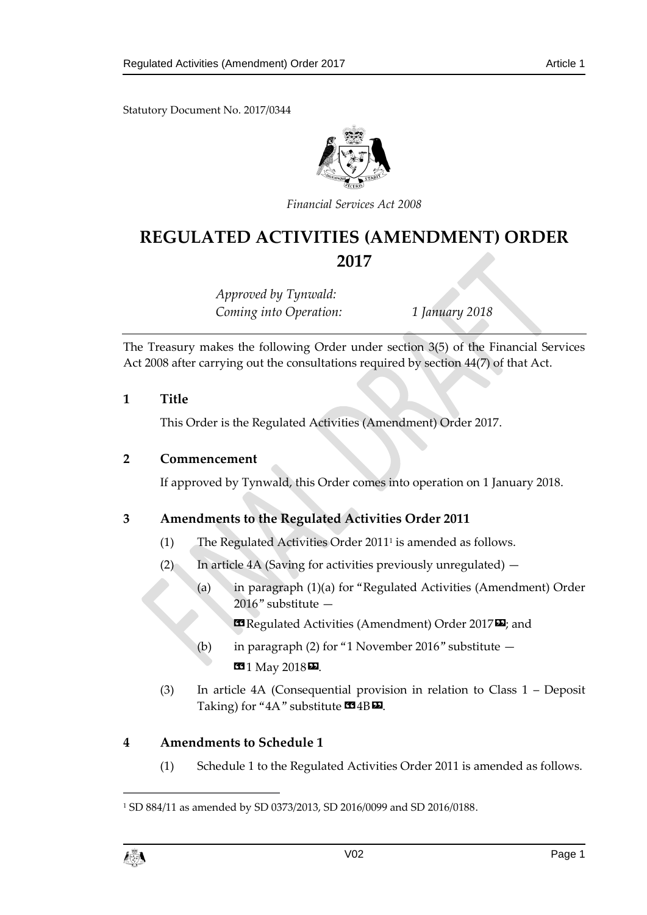Statutory Document No. 2017/0344



*Financial Services Act 2008*

## **REGULATED ACTIVITIES (AMENDMENT) ORDER 2017**

*Approved by Tynwald: Coming into Operation: 1 January 2018*

The Treasury makes the following Order under section 3(5) of the Financial Services Act 2008 after carrying out the consultations required by section 44(7) of that Act.

## **1 Title**

This Order is the Regulated Activities (Amendment) Order 2017.

#### **2 Commencement**

If approved by Tynwald, this Order comes into operation on 1 January 2018.

## **3 Amendments to the Regulated Activities Order 2011**

- (1) The Regulated Activities Order 2011<sup>1</sup> is amended as follows.
- (2) In article 4A (Saving for activities previously unregulated)  $-$ 
	- (a) in paragraph (1)(a) for "Regulated Activities (Amendment) Order 2016" substitute —

«Regulated Activities (Amendment) Order 2017»; and

- (b) in paragraph (2) for "1 November 2016" substitute **13** 1 May 2018 **D**.
- (3) In article 4A (Consequential provision in relation to Class 1 Deposit Taking) for "4A" substitute  $\blacksquare$ 4B $\blacksquare$ .

## **4 Amendments to Schedule 1**

(1) Schedule 1 to the Regulated Activities Order 2011 is amended as follows.

<sup>1</sup> SD 884/11 as amended by SD 0373/2013, SD 2016/0099 and SD 2016/0188.



 $\overline{a}$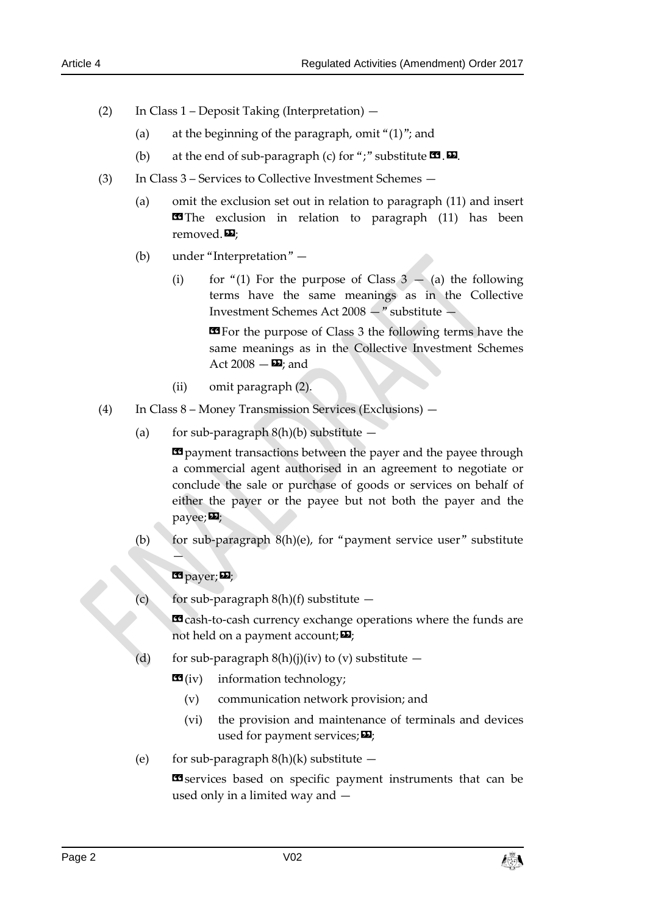- (2) In Class 1 Deposit Taking (Interpretation)
	- (a) at the beginning of the paragraph, omit " $(1)$ "; and
	- (b) at the end of sub-paragraph (c) for ";" substitute  $\mathbf{G}$ .  $\mathbf{D}$ .
- (3) In Class 3 Services to Collective Investment Schemes
	- (a) omit the exclusion set out in relation to paragraph (11) and insert **EF**The exclusion in relation to paragraph (11) has been removed. $\mathbf{E}$ ;
	- (b) under "Interpretation"
		- (i) for "(1) For the purpose of Class  $3 (a)$  the following terms have the same meanings as in the Collective Investment Schemes Act 2008 —" substitute —

**«**For the purpose of Class 3 the following terms have the same meanings as in the Collective Investment Schemes Act 2008  $\Sigma$ ; and

- (ii) omit paragraph (2).
- (4) In Class 8 Money Transmission Services (Exclusions)
	- (a) for sub-paragraph  $8(h)(b)$  substitute  $-$

 $\Phi$  payment transactions between the payer and the payee through a commercial agent authorised in an agreement to negotiate or conclude the sale or purchase of goods or services on behalf of either the payer or the payee but not both the payer and the payee; $\mathbf{E}$ ;

(b) for sub-paragraph  $8(h)(e)$ , for "payment service user" substitute

## **E** payer;

 $\rightarrow$ 

for sub-paragraph  $8(h)(f)$  substitute  $-$ 

**ED** cash-to-cash currency exchange operations where the funds are not held on a payment account;  $\mathbf{E}$ ;

- (d) for sub-paragraph  $8(h)(j)(iv)$  to (v) substitute  $-$ 
	- $\mathbf{G}(iv)$  information technology;
		- (v) communication network provision; and
		- (vi) the provision and maintenance of terminals and devices used for payment services;  $\Sigma$ ;
- (e) for sub-paragraph  $8(h)(k)$  substitute  $-$

**EI** services based on specific payment instruments that can be used only in a limited way and —

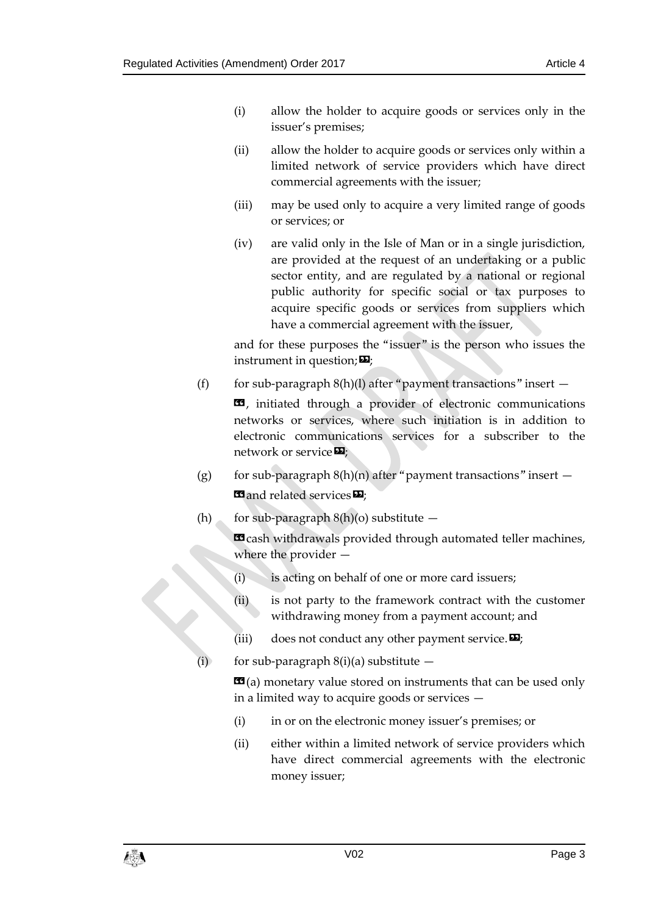- (i) allow the holder to acquire goods or services only in the issuer's premises;
- (ii) allow the holder to acquire goods or services only within a limited network of service providers which have direct commercial agreements with the issuer;
- (iii) may be used only to acquire a very limited range of goods or services; or
- (iv) are valid only in the Isle of Man or in a single jurisdiction, are provided at the request of an undertaking or a public sector entity, and are regulated by a national or regional public authority for specific social or tax purposes to acquire specific goods or services from suppliers which have a commercial agreement with the issuer,

and for these purposes the "issuer" is the person who issues the instrument in question;  $\boldsymbol{\mathsf{\Xi}}$ ;

(f) for sub-paragraph  $8(h)(l)$  after "payment transactions" insert  $-$ 

**E9**, initiated through a provider of electronic communications networks or services, where such initiation is in addition to electronic communications services for a subscriber to the network or service  $\mathbf{E}$ ;

- (g) for sub-paragraph  $8(h)(n)$  after "payment transactions" insert  $-$ **«**and related services
- (h) for sub-paragraph  $8(h)(o)$  substitute  $-$

**E9** cash withdrawals provided through automated teller machines, where the provider —

- (i) is acting on behalf of one or more card issuers;
- (ii) is not party to the framework contract with the customer withdrawing money from a payment account; and (i)  $\therefore$ <br>
(ii) is not party to the Irame withdrawing money from a pay<br>
(iii) does not conduct any other pay<br>
(i) for sub-paragraph 8(i)(a) substitute —
	- (iii) does not conduct any other payment service.  $\mathbf{E}$ ;
	-

 **(a) monetary value stored on instruments that can be used only** in a limited way to acquire goods or services —

- (i) in or on the electronic money issuer's premises; or
- (ii) either within a limited network of service providers which have direct commercial agreements with the electronic money issuer;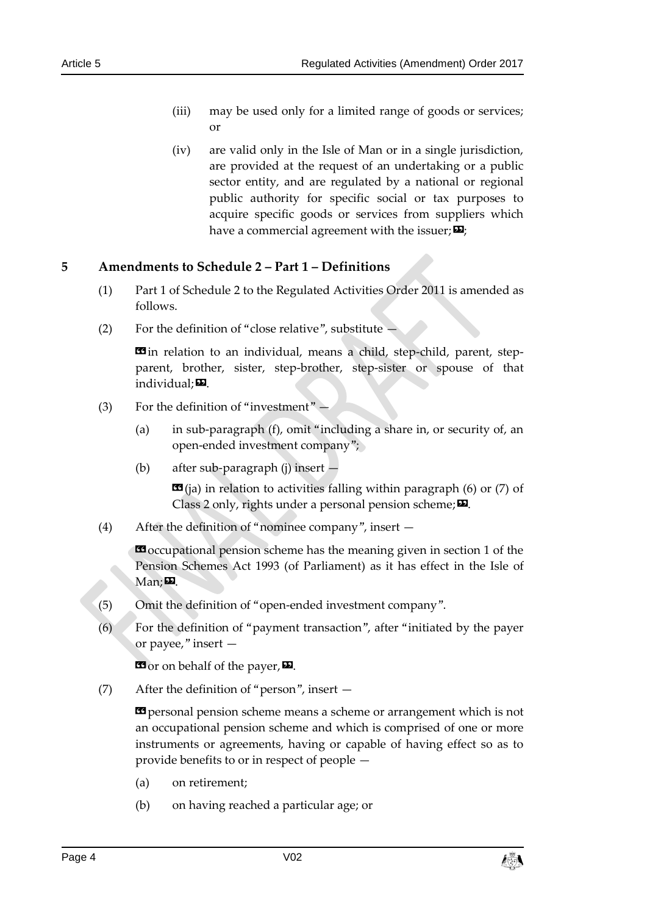- (iii) may be used only for a limited range of goods or services; or
- (iv) are valid only in the Isle of Man or in a single jurisdiction, are provided at the request of an undertaking or a public sector entity, and are regulated by a national or regional public authority for specific social or tax purposes to acquire specific goods or services from suppliers which have a commercial agreement with the issuer;  $\mathbf{E}$ ;

## **5 Amendments to Schedule 2 – Part 1 – Definitions**

- (1) Part 1 of Schedule 2 to the Regulated Activities Order 2011 is amended as follows.
- (2) For the definition of "close relative", substitute —

**E** in relation to an individual, means a child, step-child, parent, stepparent, brother, sister, step-brother, step-sister or spouse of that individual; $\mathbf{E}$ .

- (3) For the definition of "investment"
	- (a) in sub-paragraph (f), omit "including a share in, or security of, an open-ended investment company";
	- (b) after sub-paragraph (j) insert —

 $\mathbf{G}$ (ja) in relation to activities falling within paragraph (6) or (7) of Class 2 only, rights under a personal pension scheme; $\boldsymbol{\Sigma}$ .

(4) After the definition of "nominee company", insert —

«occupational pension scheme has the meaning given in section 1 of the Pension Schemes Act 1993 (of Parliament) as it has effect in the Isle of  $Man: 22$ .

- (5) Omit the definition of "open-ended investment company".
- (6) For the definition of "payment transaction", after "initiated by the payer or payee," insert —

**ED** or on behalf of the payer, **ED**.

(7) After the definition of "person", insert —

**EX** personal pension scheme means a scheme or arrangement which is not an occupational pension scheme and which is comprised of one or more instruments or agreements, having or capable of having effect so as to provide benefits to or in respect of people —

- (a) on retirement;
- (b) on having reached a particular age; or

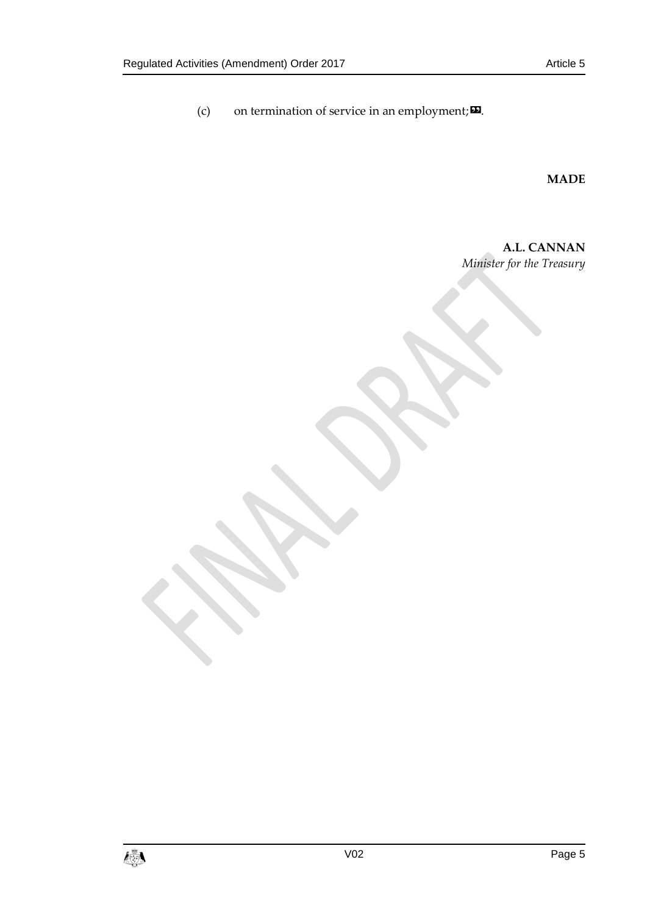(c) on termination of service in an employment; $\boldsymbol{\mathsf{\Xi}}$ .

**MADE**

**A.L. CANNAN** *Minister for the Treasury*

 $\mathbf{C}$